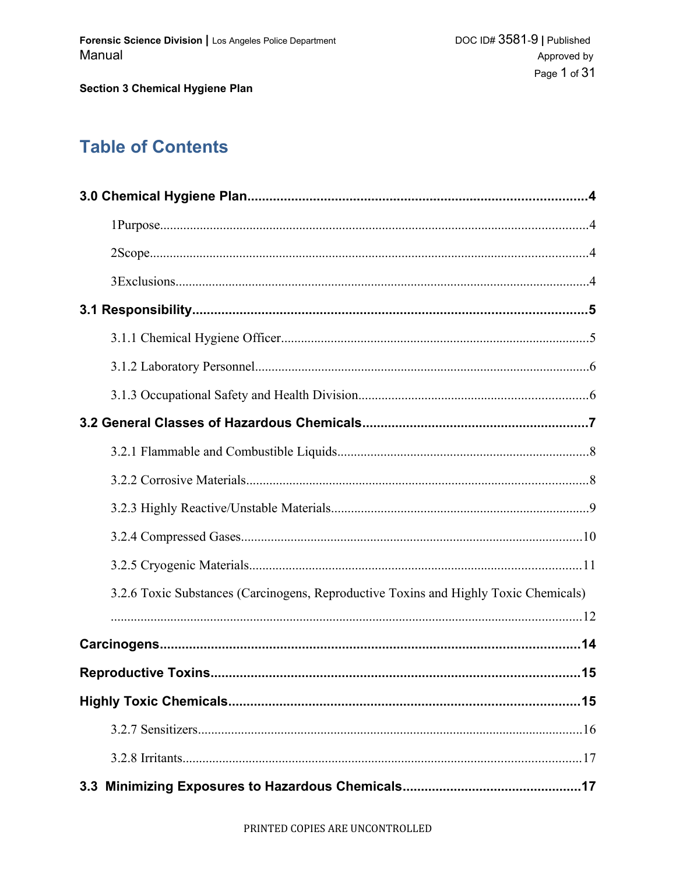# **Table of Contents**

| 3.2.6 Toxic Substances (Carcinogens, Reproductive Toxins and Highly Toxic Chemicals) |
|--------------------------------------------------------------------------------------|
|                                                                                      |
|                                                                                      |
|                                                                                      |
|                                                                                      |
|                                                                                      |
|                                                                                      |
|                                                                                      |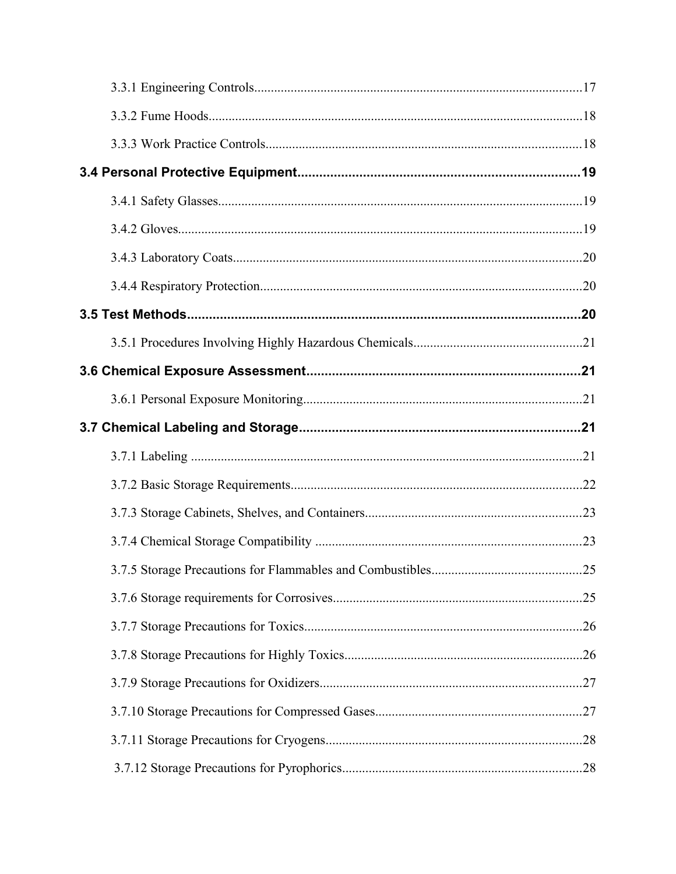| 3.7.5 Storage Precautions for Flammables and Combustibles<br>25 |  |
|-----------------------------------------------------------------|--|
|                                                                 |  |
|                                                                 |  |
|                                                                 |  |
|                                                                 |  |
|                                                                 |  |
|                                                                 |  |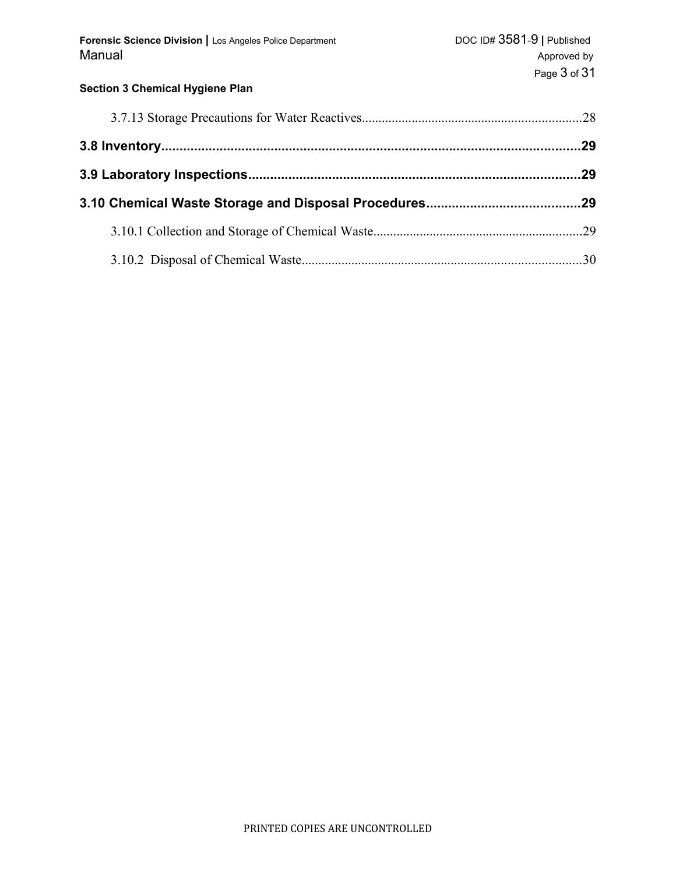| Forensic Science Division   Los Angeles Police Department<br>Manual | DOC ID# 3581-9   Published<br>Approved by<br>Page 3 of 31 |
|---------------------------------------------------------------------|-----------------------------------------------------------|
| <b>Section 3 Chemical Hygiene Plan</b>                              |                                                           |
|                                                                     |                                                           |
|                                                                     |                                                           |
|                                                                     |                                                           |
|                                                                     |                                                           |
|                                                                     |                                                           |
|                                                                     |                                                           |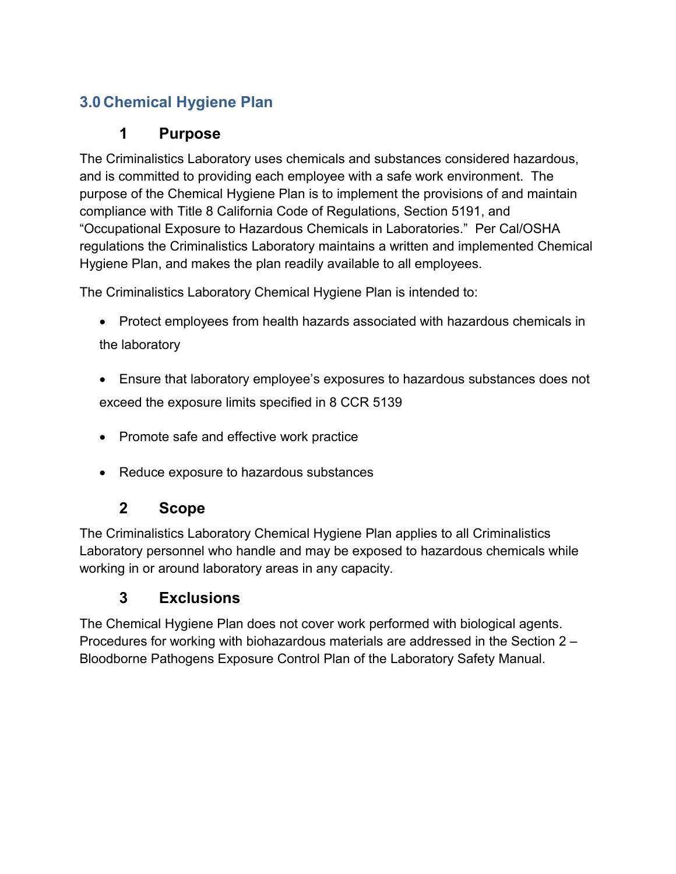# **3.0 Chemical Hygiene Plan**

# **1 Purpose**

The Criminalistics Laboratory uses chemicals and substances considered hazardous, and is committed to providing each employee with a safe work environment. The purpose of the Chemical Hygiene Plan is to implement the provisions of and maintain compliance with Title 8 California Code of Regulations, Section 5191, and "Occupational Exposure to Hazardous Chemicals in Laboratories." Per Cal/OSHA regulations the Criminalistics Laboratory maintains a written and implemented Chemical Hygiene Plan, and makes the plan readily available to all employees.

The Criminalistics Laboratory Chemical Hygiene Plan is intended to:

- Protect employees from health hazards associated with hazardous chemicals in the laboratory
- Ensure that laboratory employee's exposures to hazardous substances does not exceed the exposure limits specified in 8 CCR 5139
- Promote safe and effective work practice
- Reduce exposure to hazardous substances

# **2 Scope**

The Criminalistics Laboratory Chemical Hygiene Plan applies to all Criminalistics Laboratory personnel who handle and may be exposed to hazardous chemicals while working in or around laboratory areas in any capacity.

# **3 Exclusions**

The Chemical Hygiene Plan does not cover work performed with biological agents. Procedures for working with biohazardous materials are addressed in the Section 2 – Bloodborne Pathogens Exposure Control Plan of the Laboratory Safety Manual.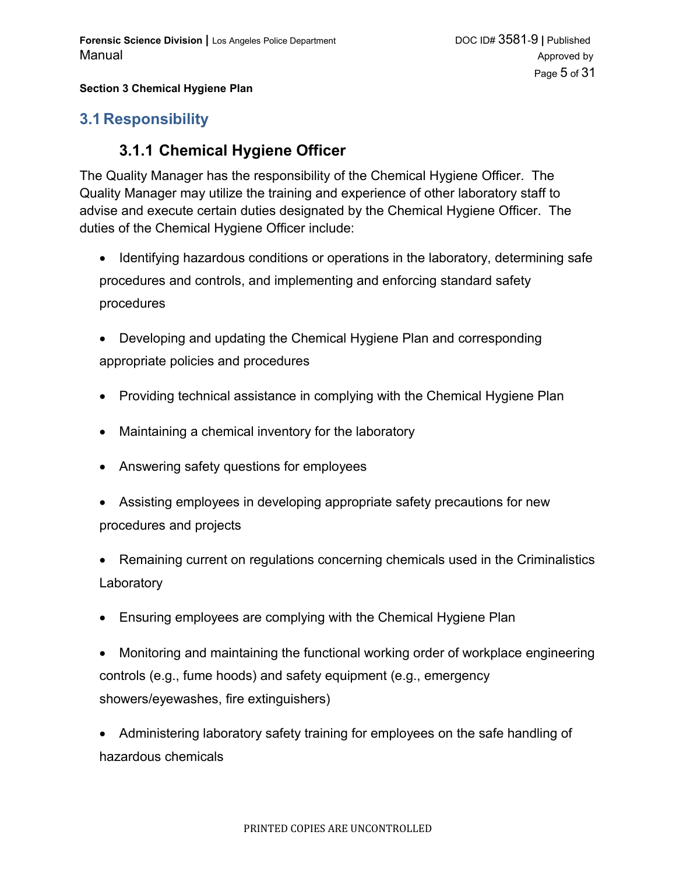### **3.1 Responsibility**

## **3.1.1 Chemical Hygiene Officer**

The Quality Manager has the responsibility of the Chemical Hygiene Officer. The Quality Manager may utilize the training and experience of other laboratory staff to advise and execute certain duties designated by the Chemical Hygiene Officer. The duties of the Chemical Hygiene Officer include:

- Identifying hazardous conditions or operations in the laboratory, determining safe procedures and controls, and implementing and enforcing standard safety procedures
- Developing and updating the Chemical Hygiene Plan and corresponding appropriate policies and procedures
- Providing technical assistance in complying with the Chemical Hygiene Plan
- Maintaining a chemical inventory for the laboratory
- Answering safety questions for employees
- Assisting employees in developing appropriate safety precautions for new procedures and projects
- Remaining current on regulations concerning chemicals used in the Criminalistics **Laboratory**
- Ensuring employees are complying with the Chemical Hygiene Plan
- Monitoring and maintaining the functional working order of workplace engineering controls (e.g., fume hoods) and safety equipment (e.g., emergency showers/eyewashes, fire extinguishers)
- Administering laboratory safety training for employees on the safe handling of hazardous chemicals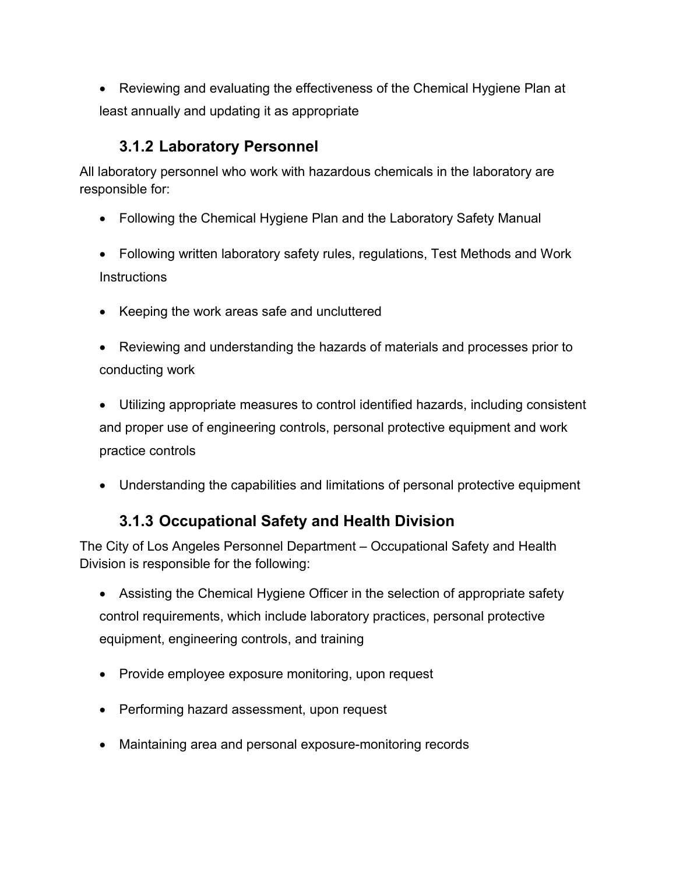Reviewing and evaluating the effectiveness of the Chemical Hygiene Plan at least annually and updating it as appropriate

## **3.1.2 Laboratory Personnel**

All laboratory personnel who work with hazardous chemicals in the laboratory are responsible for:

- Following the Chemical Hygiene Plan and the Laboratory Safety Manual
- Following written laboratory safety rules, regulations, Test Methods and Work **Instructions**
- Keeping the work areas safe and uncluttered
- Reviewing and understanding the hazards of materials and processes prior to conducting work
- Utilizing appropriate measures to control identified hazards, including consistent and proper use of engineering controls, personal protective equipment and work practice controls
- Understanding the capabilities and limitations of personal protective equipment

# **3.1.3 Occupational Safety and Health Division**

The City of Los Angeles Personnel Department – Occupational Safety and Health Division is responsible for the following:

- Assisting the Chemical Hygiene Officer in the selection of appropriate safety control requirements, which include laboratory practices, personal protective equipment, engineering controls, and training
- Provide employee exposure monitoring, upon request
- Performing hazard assessment, upon request
- Maintaining area and personal exposure-monitoring records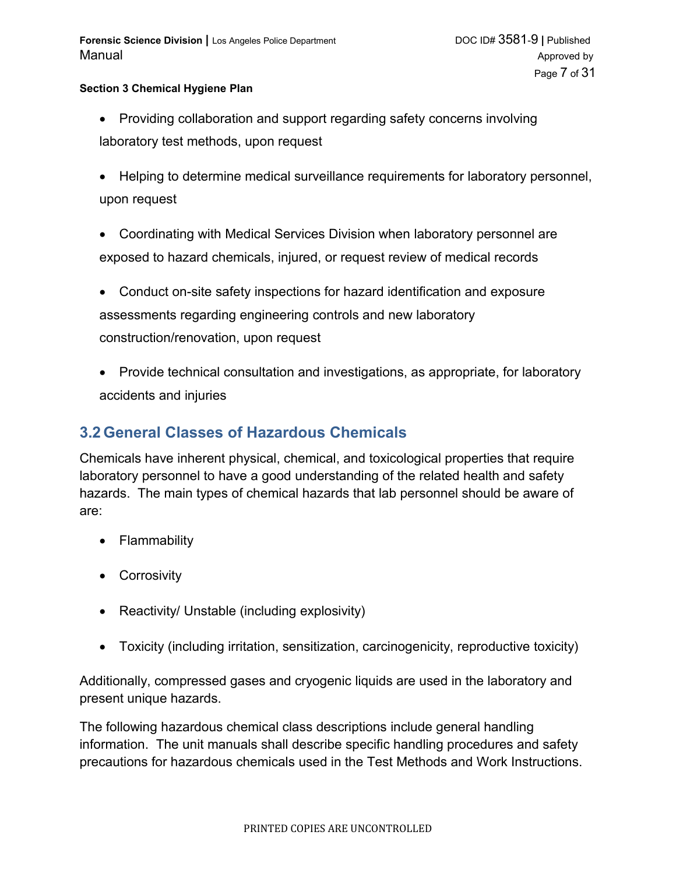- Providing collaboration and support regarding safety concerns involving laboratory test methods, upon request
- Helping to determine medical surveillance requirements for laboratory personnel, upon request
- Coordinating with Medical Services Division when laboratory personnel are exposed to hazard chemicals, injured, or request review of medical records
- Conduct on-site safety inspections for hazard identification and exposure assessments regarding engineering controls and new laboratory construction/renovation, upon request
- Provide technical consultation and investigations, as appropriate, for laboratory accidents and injuries

## **3.2 General Classes of Hazardous Chemicals**

Chemicals have inherent physical, chemical, and toxicological properties that require laboratory personnel to have a good understanding of the related health and safety hazards. The main types of chemical hazards that lab personnel should be aware of are:

- Flammability
- **•** Corrosivity
- Reactivity/ Unstable (including explosivity)
- Toxicity (including irritation, sensitization, carcinogenicity, reproductive toxicity)

Additionally, compressed gases and cryogenic liquids are used in the laboratory and present unique hazards.

The following hazardous chemical class descriptions include general handling information. The unit manuals shall describe specific handling procedures and safety precautions for hazardous chemicals used in the Test Methods and Work Instructions.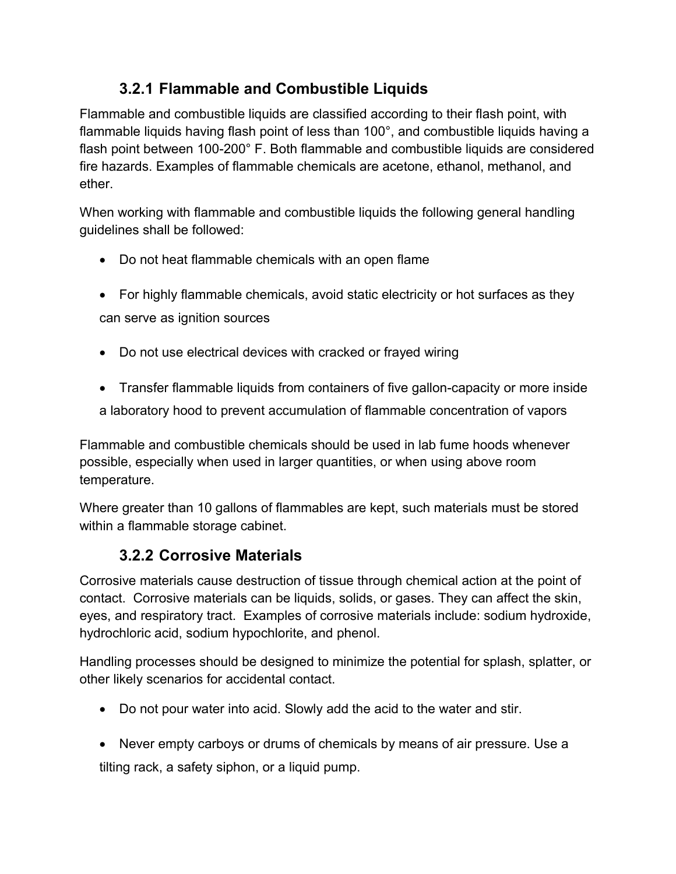# **3.2.1 Flammable and Combustible Liquids**

Flammable and combustible liquids are classified according to their flash point, with flammable liquids having flash point of less than 100°, and combustible liquids having a flash point between 100-200° F. Both flammable and combustible liquids are considered fire hazards. Examples of flammable chemicals are acetone, ethanol, methanol, and ether.

When working with flammable and combustible liquids the following general handling guidelines shall be followed:

- Do not heat flammable chemicals with an open flame
- For highly flammable chemicals, avoid static electricity or hot surfaces as they can serve as ignition sources
- Do not use electrical devices with cracked or frayed wiring
- Transfer flammable liquids from containers of five gallon-capacity or more inside a laboratory hood to prevent accumulation of flammable concentration of vapors

Flammable and combustible chemicals should be used in lab fume hoods whenever possible, especially when used in larger quantities, or when using above room temperature.

Where greater than 10 gallons of flammables are kept, such materials must be stored within a flammable storage cabinet.

# **3.2.2 Corrosive Materials**

Corrosive materials cause destruction of tissue through chemical action at the point of contact. Corrosive materials can be liquids, solids, or gases. They can affect the skin, eyes, and respiratory tract. Examples of corrosive materials include: sodium hydroxide, hydrochloric acid, sodium hypochlorite, and phenol.

Handling processes should be designed to minimize the potential for splash, splatter, or other likely scenarios for accidental contact.

- Do not pour water into acid. Slowly add the acid to the water and stir.
- Never empty carboys or drums of chemicals by means of air pressure. Use a tilting rack, a safety siphon, or a liquid pump.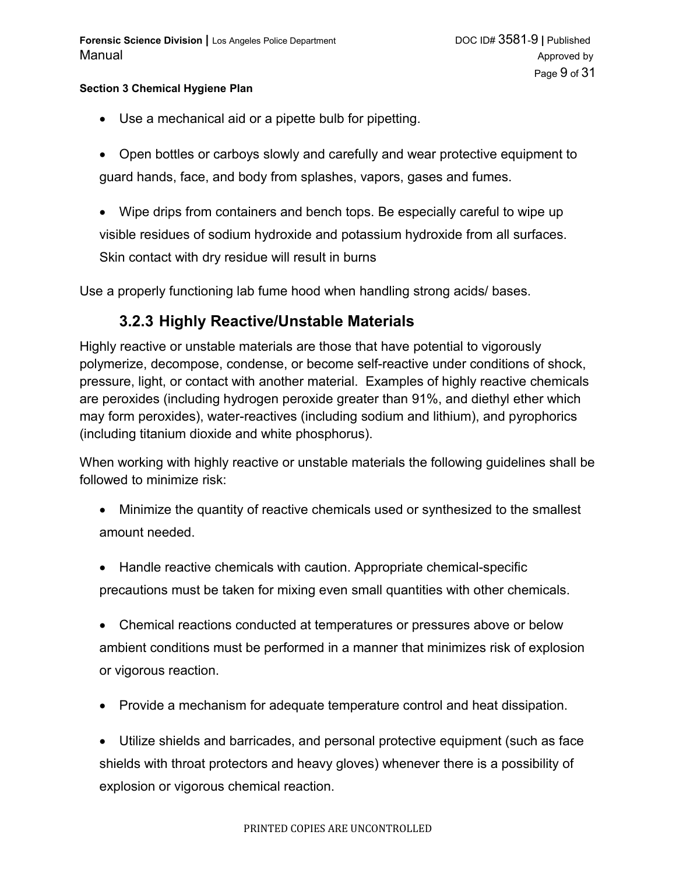- Use a mechanical aid or a pipette bulb for pipetting.
- Open bottles or carboys slowly and carefully and wear protective equipment to guard hands, face, and body from splashes, vapors, gases and fumes.
- Wipe drips from containers and bench tops. Be especially careful to wipe up visible residues of sodium hydroxide and potassium hydroxide from all surfaces. Skin contact with dry residue will result in burns

Use a properly functioning lab fume hood when handling strong acids/ bases.

## **3.2.3 Highly Reactive/Unstable Materials**

Highly reactive or unstable materials are those that have potential to vigorously polymerize, decompose, condense, or become self-reactive under conditions of shock, pressure, light, or contact with another material. Examples of highly reactive chemicals are peroxides (including hydrogen peroxide greater than 91%, and diethyl ether which may form peroxides), water-reactives (including sodium and lithium), and pyrophorics (including titanium dioxide and white phosphorus).

When working with highly reactive or unstable materials the following guidelines shall be followed to minimize risk:

- Minimize the quantity of reactive chemicals used or synthesized to the smallest amount needed.
- Handle reactive chemicals with caution. Appropriate chemical-specific precautions must be taken for mixing even small quantities with other chemicals.
- Chemical reactions conducted at temperatures or pressures above or below ambient conditions must be performed in a manner that minimizes risk of explosion or vigorous reaction.
- Provide a mechanism for adequate temperature control and heat dissipation.

 Utilize shields and barricades, and personal protective equipment (such as face shields with throat protectors and heavy gloves) whenever there is a possibility of explosion or vigorous chemical reaction.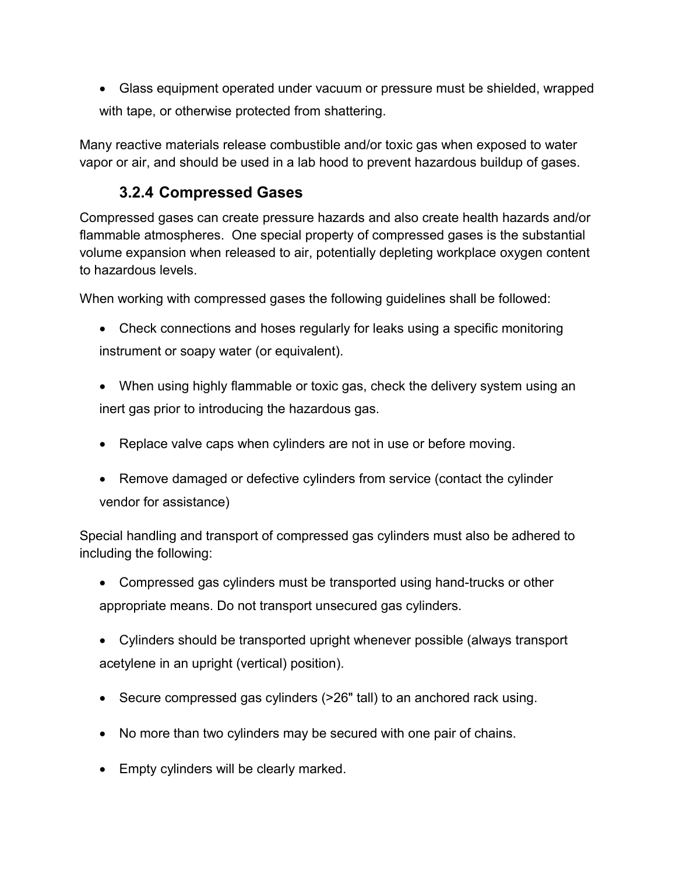Glass equipment operated under vacuum or pressure must be shielded, wrapped with tape, or otherwise protected from shattering.

Many reactive materials release combustible and/or toxic gas when exposed to water vapor or air, and should be used in a lab hood to prevent hazardous buildup of gases.

# **3.2.4 Compressed Gases**

Compressed gases can create pressure hazards and also create health hazards and/or flammable atmospheres. One special property of compressed gases is the substantial volume expansion when released to air, potentially depleting workplace oxygen content to hazardous levels.

When working with compressed gases the following guidelines shall be followed:

- Check connections and hoses regularly for leaks using a specific monitoring instrument or soapy water (or equivalent).
- When using highly flammable or toxic gas, check the delivery system using an inert gas prior to introducing the hazardous gas.
- Replace valve caps when cylinders are not in use or before moving.
- Remove damaged or defective cylinders from service (contact the cylinder vendor for assistance)

Special handling and transport of compressed gas cylinders must also be adhered to including the following:

- Compressed gas cylinders must be transported using hand-trucks or other appropriate means. Do not transport unsecured gas cylinders.
- Cylinders should be transported upright whenever possible (always transport acetylene in an upright (vertical) position).
- Secure compressed gas cylinders (>26" tall) to an anchored rack using.
- No more than two cylinders may be secured with one pair of chains.
- Empty cylinders will be clearly marked.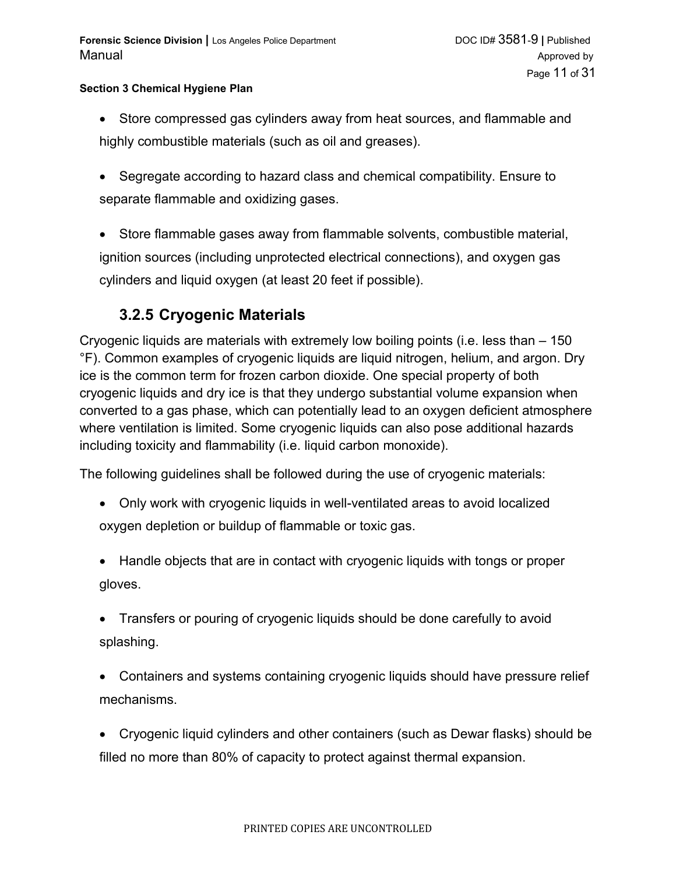- Store compressed gas cylinders away from heat sources, and flammable and highly combustible materials (such as oil and greases).
- Segregate according to hazard class and chemical compatibility. Ensure to separate flammable and oxidizing gases.
- Store flammable gases away from flammable solvents, combustible material, ignition sources (including unprotected electrical connections), and oxygen gas cylinders and liquid oxygen (at least 20 feet if possible).

# **3.2.5 Cryogenic Materials**

Cryogenic liquids are materials with extremely low boiling points (i.e. less than – 150 °F). Common examples of cryogenic liquids are liquid nitrogen, helium, and argon. Dry ice is the common term for frozen carbon dioxide. One special property of both cryogenic liquids and dry ice is that they undergo substantial volume expansion when converted to a gas phase, which can potentially lead to an oxygen deficient atmosphere where ventilation is limited. Some cryogenic liquids can also pose additional hazards including toxicity and flammability (i.e. liquid carbon monoxide).

The following guidelines shall be followed during the use of cryogenic materials:

- Only work with cryogenic liquids in well-ventilated areas to avoid localized oxygen depletion or buildup of flammable or toxic gas.
- Handle objects that are in contact with cryogenic liquids with tongs or proper gloves.
- Transfers or pouring of cryogenic liquids should be done carefully to avoid splashing.
- Containers and systems containing cryogenic liquids should have pressure relief mechanisms.
- Cryogenic liquid cylinders and other containers (such as Dewar flasks) should be filled no more than 80% of capacity to protect against thermal expansion.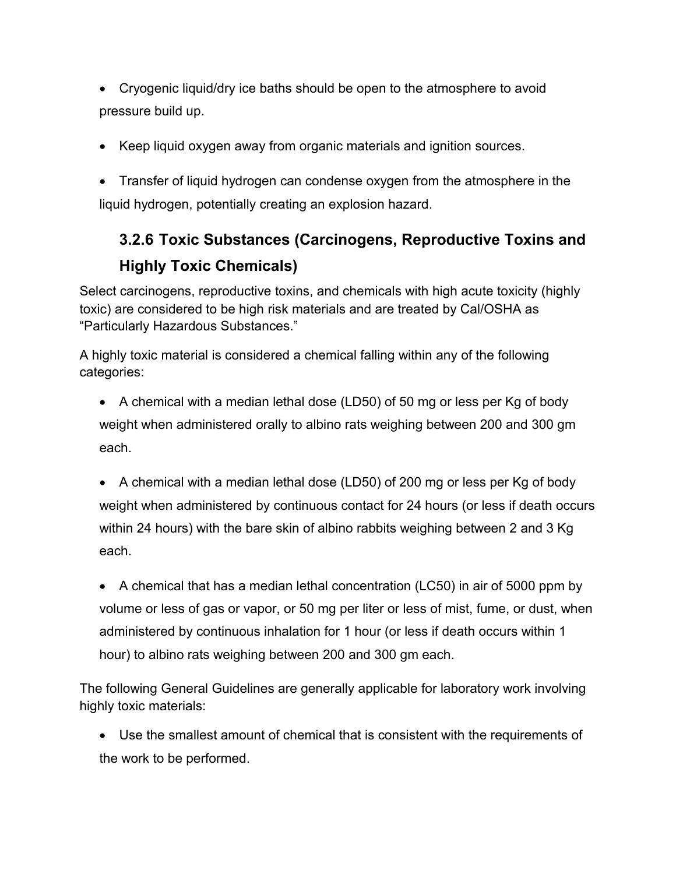- Cryogenic liquid/dry ice baths should be open to the atmosphere to avoid pressure build up.
- Keep liquid oxygen away from organic materials and ignition sources.
- Transfer of liquid hydrogen can condense oxygen from the atmosphere in the liquid hydrogen, potentially creating an explosion hazard.

# **3.2.6 Toxic Substances (Carcinogens, Reproductive Toxins and Highly Toxic Chemicals)**

Select carcinogens, reproductive toxins, and chemicals with high acute toxicity (highly toxic) are considered to be high risk materials and are treated by Cal/OSHA as "Particularly Hazardous Substances."

A highly toxic material is considered a chemical falling within any of the following categories:

- A chemical with a median lethal dose (LD50) of 50 mg or less per Kg of body weight when administered orally to albino rats weighing between 200 and 300 gm each.
- A chemical with a median lethal dose (LD50) of 200 mg or less per Kg of body weight when administered by continuous contact for 24 hours (or less if death occurs within 24 hours) with the bare skin of albino rabbits weighing between 2 and 3 Kg each.
- A chemical that has a median lethal concentration (LC50) in air of 5000 ppm by volume or less of gas or vapor, or 50 mg per liter or less of mist, fume, or dust, when administered by continuous inhalation for 1 hour (or less if death occurs within 1 hour) to albino rats weighing between 200 and 300 gm each.

The following General Guidelines are generally applicable for laboratory work involving highly toxic materials:

 Use the smallest amount of chemical that is consistent with the requirements of the work to be performed.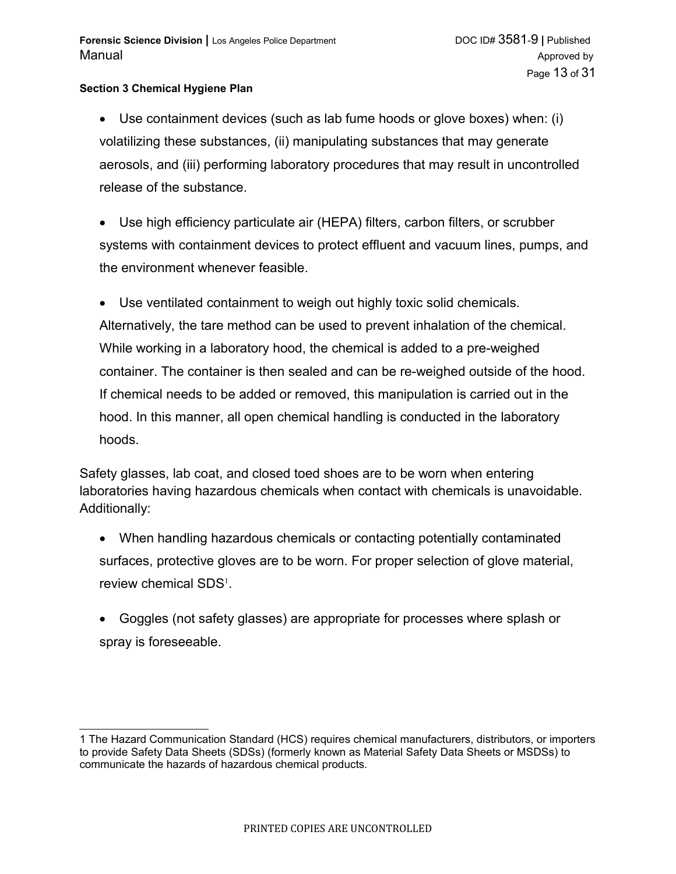Use containment devices (such as lab fume hoods or glove boxes) when: (i) volatilizing these substances, (ii) manipulating substances that may generate aerosols, and (iii) performing laboratory procedures that may result in uncontrolled release of the substance.

 Use high efficiency particulate air (HEPA) filters, carbon filters, or scrubber systems with containment devices to protect effluent and vacuum lines, pumps, and the environment whenever feasible.

 Use ventilated containment to weigh out highly toxic solid chemicals. Alternatively, the tare method can be used to prevent inhalation of the chemical. While working in a laboratory hood, the chemical is added to a pre-weighed container. The container is then sealed and can be re-weighed outside of the hood. If chemical needs to be added or removed, this manipulation is carried out in the hood. In this manner, all open chemical handling is conducted in the laboratory hoods.

Safety glasses, lab coat, and closed toed shoes are to be worn when entering laboratories having hazardous chemicals when contact with chemicals is unavoidable. Additionally:

- When handling hazardous chemicals or contacting potentially contaminated surfaces, protective gloves are to be worn. For proper selection of glove material, review chemical SDS $^1$  $^1$ .
- Goggles (not safety glasses) are appropriate for processes where splash or spray is foreseeable.

<span id="page-12-0"></span><sup>1</sup> The Hazard Communication Standard (HCS) requires chemical manufacturers, distributors, or importers to provide Safety Data Sheets (SDSs) (formerly known as Material Safety Data Sheets or MSDSs) to communicate the hazards of hazardous chemical products.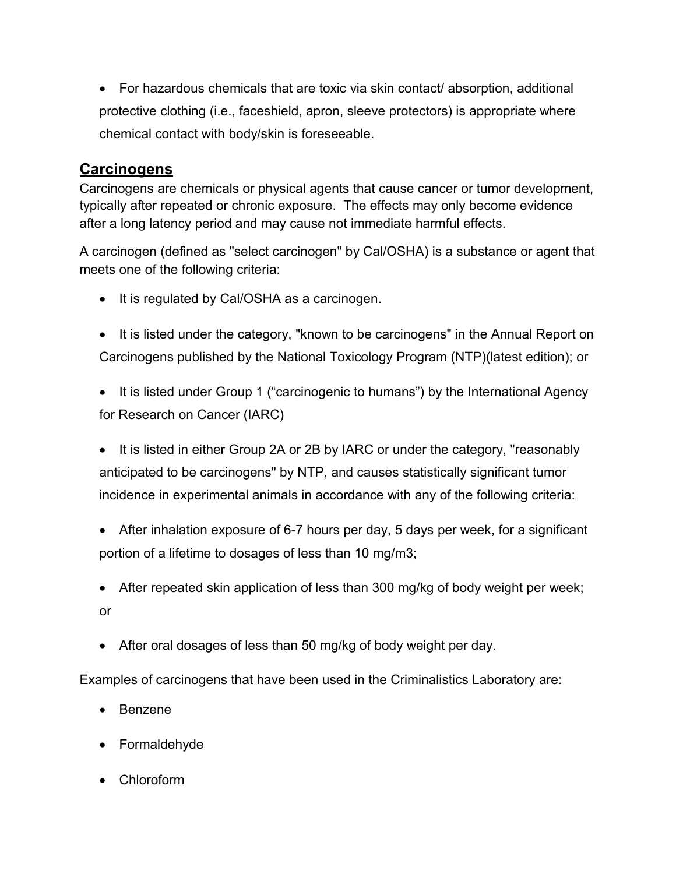For hazardous chemicals that are toxic via skin contact/ absorption, additional protective clothing (i.e., faceshield, apron, sleeve protectors) is appropriate where chemical contact with body/skin is foreseeable.

## **Carcinogens**

Carcinogens are chemicals or physical agents that cause cancer or tumor development, typically after repeated or chronic exposure. The effects may only become evidence after a long latency period and may cause not immediate harmful effects.

A carcinogen (defined as "select carcinogen" by Cal/OSHA) is a substance or agent that meets one of the following criteria:

- It is regulated by Cal/OSHA as a carcinogen.
- It is listed under the category, "known to be carcinogens" in the Annual Report on Carcinogens published by the National Toxicology Program (NTP)(latest edition); or
- It is listed under Group 1 ("carcinogenic to humans") by the International Agency for Research on Cancer (IARC)
- It is listed in either Group 2A or 2B by IARC or under the category, "reasonably anticipated to be carcinogens" by NTP, and causes statistically significant tumor incidence in experimental animals in accordance with any of the following criteria:
- After inhalation exposure of 6-7 hours per day, 5 days per week, for a significant portion of a lifetime to dosages of less than 10 mg/m3;
- After repeated skin application of less than 300 mg/kg of body weight per week; or
- After oral dosages of less than 50 mg/kg of body weight per day.

Examples of carcinogens that have been used in the Criminalistics Laboratory are:

- Benzene
- Formaldehyde
- Chloroform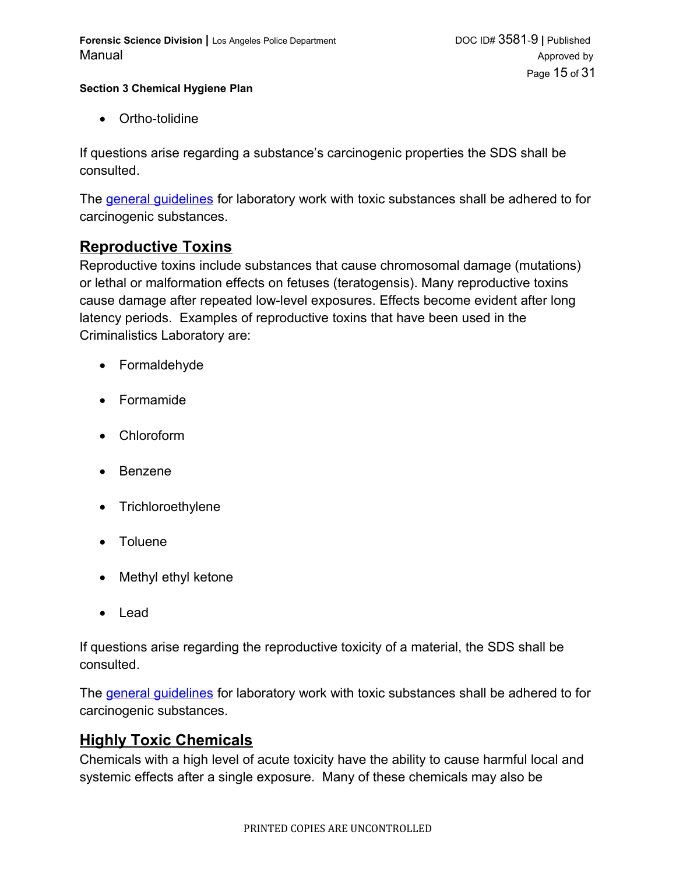Ortho-tolidine

If questions arise regarding a substance's carcinogenic properties the SDS shall be consulted.

<span id="page-14-1"></span>The [general guidelines](#page-14-1) for laboratory work with toxic substances shall be adhered to for carcinogenic substances.

## **Reproductive Toxins**

Reproductive toxins include substances that cause chromosomal damage (mutations) or lethal or malformation effects on fetuses (teratogensis). Many reproductive toxins cause damage after repeated low-level exposures. Effects become evident after long latency periods. Examples of reproductive toxins that have been used in the Criminalistics Laboratory are:

- Formaldehyde
- Formamide
- Chloroform
- Benzene
- Trichloroethylene
- Toluene
- Methyl ethyl ketone
- Lead

If questions arise regarding the reproductive toxicity of a material, the SDS shall be consulted.

<span id="page-14-0"></span>The [general guidelines](#page-14-0) for laboratory work with toxic substances shall be adhered to for carcinogenic substances.

## **Highly Toxic Chemicals**

Chemicals with a high level of acute toxicity have the ability to cause harmful local and systemic effects after a single exposure. Many of these chemicals may also be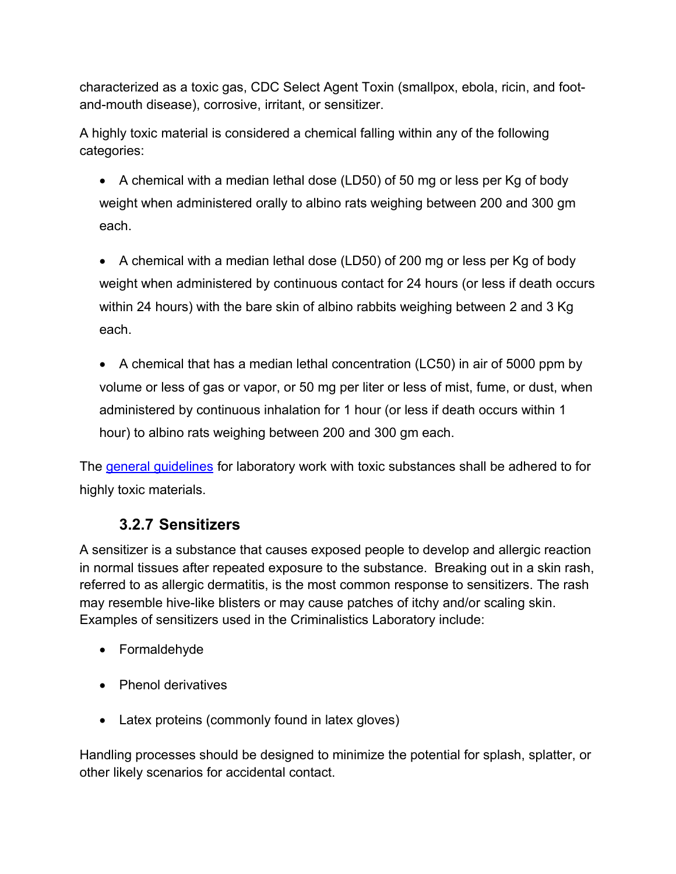characterized as a toxic gas, CDC Select Agent Toxin (smallpox, ebola, ricin, and footand-mouth disease), corrosive, irritant, or sensitizer.

A highly toxic material is considered a chemical falling within any of the following categories:

- A chemical with a median lethal dose (LD50) of 50 mg or less per Kg of body weight when administered orally to albino rats weighing between 200 and 300 gm each.
- A chemical with a median lethal dose (LD50) of 200 mg or less per Kg of body weight when administered by continuous contact for 24 hours (or less if death occurs within 24 hours) with the bare skin of albino rabbits weighing between 2 and 3 Kg each.
- A chemical that has a median lethal concentration (LC50) in air of 5000 ppm by volume or less of gas or vapor, or 50 mg per liter or less of mist, fume, or dust, when administered by continuous inhalation for 1 hour (or less if death occurs within 1 hour) to albino rats weighing between 200 and 300 gm each.

The [general guidelines](#page-15-0) for laboratory work with toxic substances shall be adhered to for highly toxic materials.

## <span id="page-15-0"></span>**3.2.7 Sensitizers**

A sensitizer is a substance that causes exposed people to develop and allergic reaction in normal tissues after repeated exposure to the substance. Breaking out in a skin rash, referred to as allergic dermatitis, is the most common response to sensitizers. The rash may resemble hive-like blisters or may cause patches of itchy and/or scaling skin. Examples of sensitizers used in the Criminalistics Laboratory include:

- Formaldehyde
- Phenol derivatives
- Latex proteins (commonly found in latex gloves)

Handling processes should be designed to minimize the potential for splash, splatter, or other likely scenarios for accidental contact.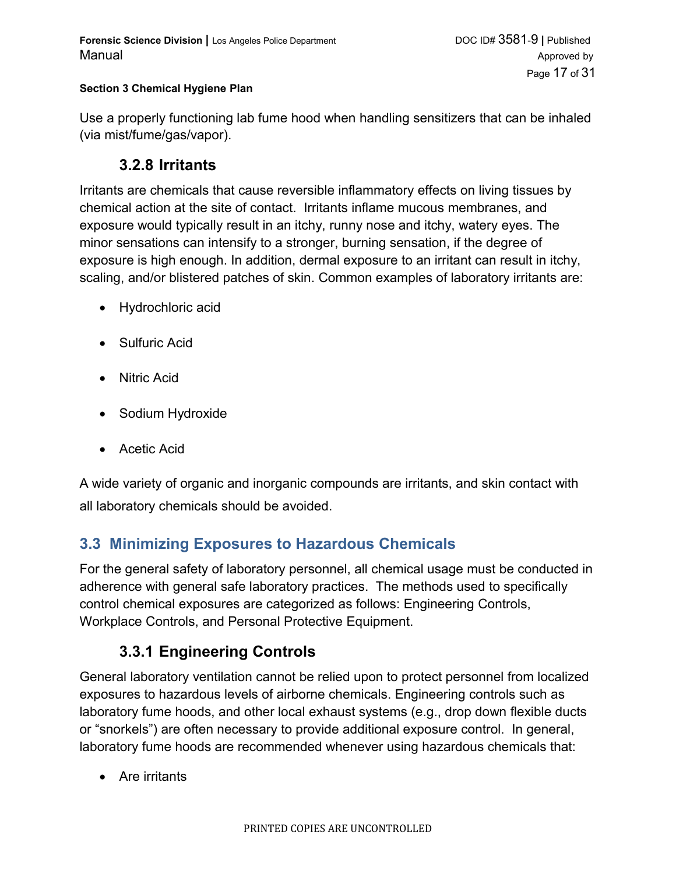Use a properly functioning lab fume hood when handling sensitizers that can be inhaled (via mist/fume/gas/vapor).

### **3.2.8 Irritants**

Irritants are chemicals that cause reversible inflammatory effects on living tissues by chemical action at the site of contact. Irritants inflame mucous membranes, and exposure would typically result in an itchy, runny nose and itchy, watery eyes. The minor sensations can intensify to a stronger, burning sensation, if the degree of exposure is high enough. In addition, dermal exposure to an irritant can result in itchy, scaling, and/or blistered patches of skin. Common examples of laboratory irritants are:

- Hydrochloric acid
- Sulfuric Acid
- Nitric Acid
- Sodium Hydroxide
- Acetic Acid

A wide variety of organic and inorganic compounds are irritants, and skin contact with all laboratory chemicals should be avoided.

## **3.3 Minimizing Exposures to Hazardous Chemicals**

For the general safety of laboratory personnel, all chemical usage must be conducted in adherence with general safe laboratory practices. The methods used to specifically control chemical exposures are categorized as follows: Engineering Controls, Workplace Controls, and Personal Protective Equipment.

# **3.3.1 Engineering Controls**

General laboratory ventilation cannot be relied upon to protect personnel from localized exposures to hazardous levels of airborne chemicals. Engineering controls such as laboratory fume hoods, and other local exhaust systems (e.g., drop down flexible ducts or "snorkels") are often necessary to provide additional exposure control. In general, laboratory fume hoods are recommended whenever using hazardous chemicals that:

• Are irritants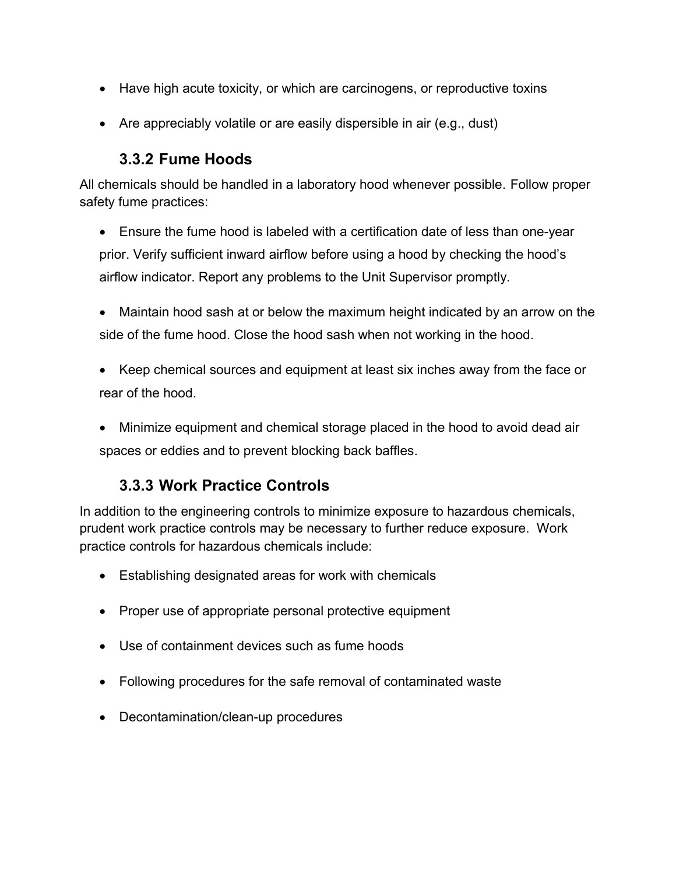- Have high acute toxicity, or which are carcinogens, or reproductive toxins
- Are appreciably volatile or are easily dispersible in air (e.g., dust)

## **3.3.2 Fume Hoods**

All chemicals should be handled in a laboratory hood whenever possible. Follow proper safety fume practices:

- Ensure the fume hood is labeled with a certification date of less than one-year prior. Verify sufficient inward airflow before using a hood by checking the hood's airflow indicator. Report any problems to the Unit Supervisor promptly.
- Maintain hood sash at or below the maximum height indicated by an arrow on the side of the fume hood. Close the hood sash when not working in the hood.
- Keep chemical sources and equipment at least six inches away from the face or rear of the hood.
- Minimize equipment and chemical storage placed in the hood to avoid dead air spaces or eddies and to prevent blocking back baffles.

## **3.3.3 Work Practice Controls**

In addition to the engineering controls to minimize exposure to hazardous chemicals, prudent work practice controls may be necessary to further reduce exposure. Work practice controls for hazardous chemicals include:

- Establishing designated areas for work with chemicals
- Proper use of appropriate personal protective equipment
- Use of containment devices such as fume hoods
- Following procedures for the safe removal of contaminated waste
- Decontamination/clean-up procedures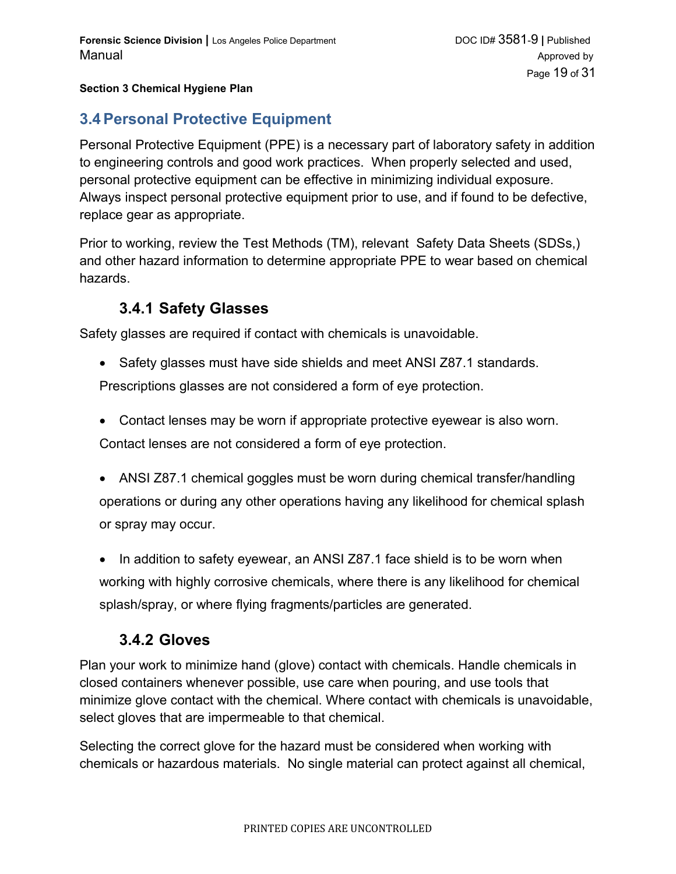## **3.4Personal Protective Equipment**

Personal Protective Equipment (PPE) is a necessary part of laboratory safety in addition to engineering controls and good work practices. When properly selected and used, personal protective equipment can be effective in minimizing individual exposure. Always inspect personal protective equipment prior to use, and if found to be defective, replace gear as appropriate.

Prior to working, review the Test Methods (TM), relevant Safety Data Sheets (SDSs,) and other hazard information to determine appropriate PPE to wear based on chemical hazards.

## **3.4.1 Safety Glasses**

Safety glasses are required if contact with chemicals is unavoidable.

• Safety glasses must have side shields and meet ANSI Z87.1 standards.

Prescriptions glasses are not considered a form of eye protection.

- Contact lenses may be worn if appropriate protective eyewear is also worn. Contact lenses are not considered a form of eye protection.
- ANSI Z87.1 chemical goggles must be worn during chemical transfer/handling operations or during any other operations having any likelihood for chemical splash or spray may occur.

• In addition to safety eyewear, an ANSI Z87.1 face shield is to be worn when working with highly corrosive chemicals, where there is any likelihood for chemical splash/spray, or where flying fragments/particles are generated.

## **3.4.2 Gloves**

Plan your work to minimize hand (glove) contact with chemicals. Handle chemicals in closed containers whenever possible, use care when pouring, and use tools that minimize glove contact with the chemical. Where contact with chemicals is unavoidable, select gloves that are impermeable to that chemical.

Selecting the correct glove for the hazard must be considered when working with chemicals or hazardous materials. No single material can protect against all chemical,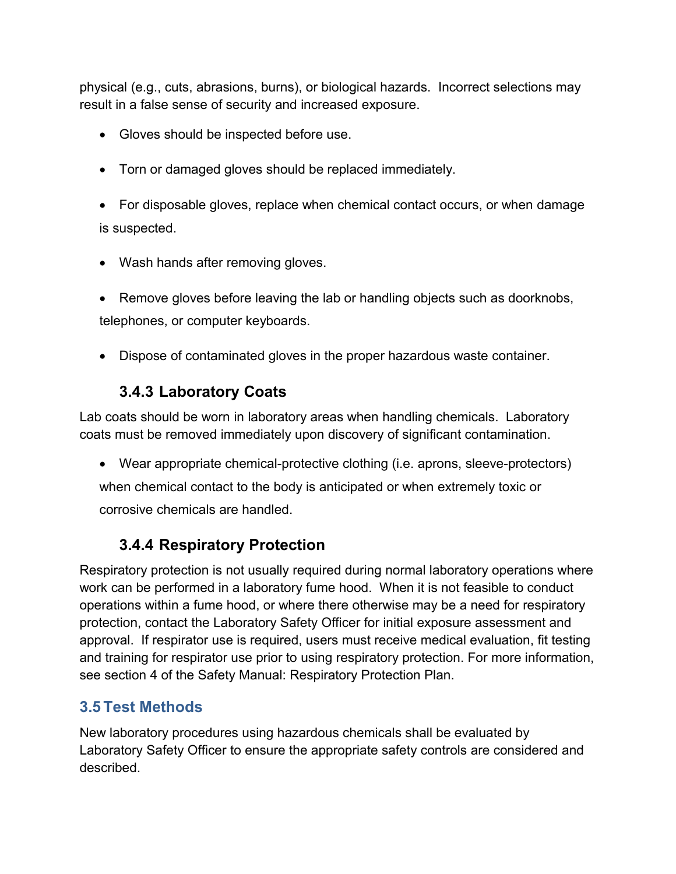physical (e.g., cuts, abrasions, burns), or biological hazards. Incorrect selections may result in a false sense of security and increased exposure.

- Gloves should be inspected before use.
- Torn or damaged gloves should be replaced immediately.
- For disposable gloves, replace when chemical contact occurs, or when damage is suspected.
- Wash hands after removing gloves.
- Remove gloves before leaving the lab or handling objects such as doorknobs, telephones, or computer keyboards.
- Dispose of contaminated gloves in the proper hazardous waste container.

# **3.4.3 Laboratory Coats**

Lab coats should be worn in laboratory areas when handling chemicals. Laboratory coats must be removed immediately upon discovery of significant contamination.

 Wear appropriate chemical-protective clothing (i.e. aprons, sleeve-protectors) when chemical contact to the body is anticipated or when extremely toxic or corrosive chemicals are handled.

# **3.4.4 Respiratory Protection**

Respiratory protection is not usually required during normal laboratory operations where work can be performed in a laboratory fume hood. When it is not feasible to conduct operations within a fume hood, or where there otherwise may be a need for respiratory protection, contact the Laboratory Safety Officer for initial exposure assessment and approval. If respirator use is required, users must receive medical evaluation, fit testing and training for respirator use prior to using respiratory protection. For more information, see section 4 of the Safety Manual: Respiratory Protection Plan.

## **3.5 Test Methods**

New laboratory procedures using hazardous chemicals shall be evaluated by Laboratory Safety Officer to ensure the appropriate safety controls are considered and described.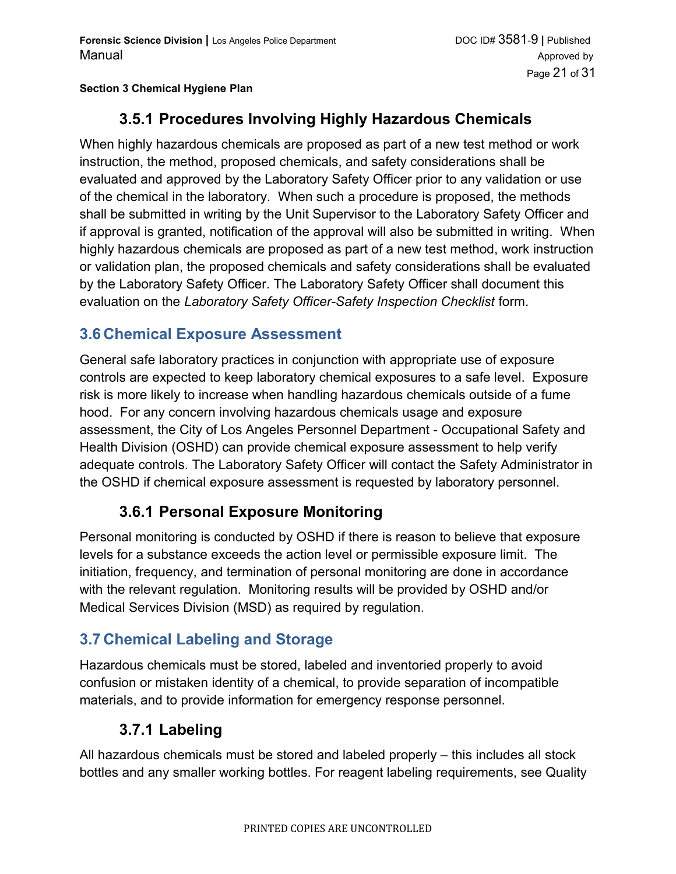# **3.5.1 Procedures Involving Highly Hazardous Chemicals**

When highly hazardous chemicals are proposed as part of a new test method or work instruction, the method, proposed chemicals, and safety considerations shall be evaluated and approved by the Laboratory Safety Officer prior to any validation or use of the chemical in the laboratory. When such a procedure is proposed, the methods shall be submitted in writing by the Unit Supervisor to the Laboratory Safety Officer and if approval is granted, notification of the approval will also be submitted in writing. When highly hazardous chemicals are proposed as part of a new test method, work instruction or validation plan, the proposed chemicals and safety considerations shall be evaluated by the Laboratory Safety Officer. The Laboratory Safety Officer shall document this evaluation on the *Laboratory Safety Officer-Safety Inspection Checklist* form.

## **3.6 Chemical Exposure Assessment**

General safe laboratory practices in conjunction with appropriate use of exposure controls are expected to keep laboratory chemical exposures to a safe level. Exposure risk is more likely to increase when handling hazardous chemicals outside of a fume hood. For any concern involving hazardous chemicals usage and exposure assessment, the City of Los Angeles Personnel Department - Occupational Safety and Health Division (OSHD) can provide chemical exposure assessment to help verify adequate controls. The Laboratory Safety Officer will contact the Safety Administrator in the OSHD if chemical exposure assessment is requested by laboratory personnel.

## **3.6.1 Personal Exposure Monitoring**

Personal monitoring is conducted by OSHD if there is reason to believe that exposure levels for a substance exceeds the action level or permissible exposure limit. The initiation, frequency, and termination of personal monitoring are done in accordance with the relevant regulation. Monitoring results will be provided by OSHD and/or Medical Services Division (MSD) as required by regulation.

## **3.7 Chemical Labeling and Storage**

Hazardous chemicals must be stored, labeled and inventoried properly to avoid confusion or mistaken identity of a chemical, to provide separation of incompatible materials, and to provide information for emergency response personnel.

## **3.7.1 Labeling**

All hazardous chemicals must be stored and labeled properly – this includes all stock bottles and any smaller working bottles. For reagent labeling requirements, see Quality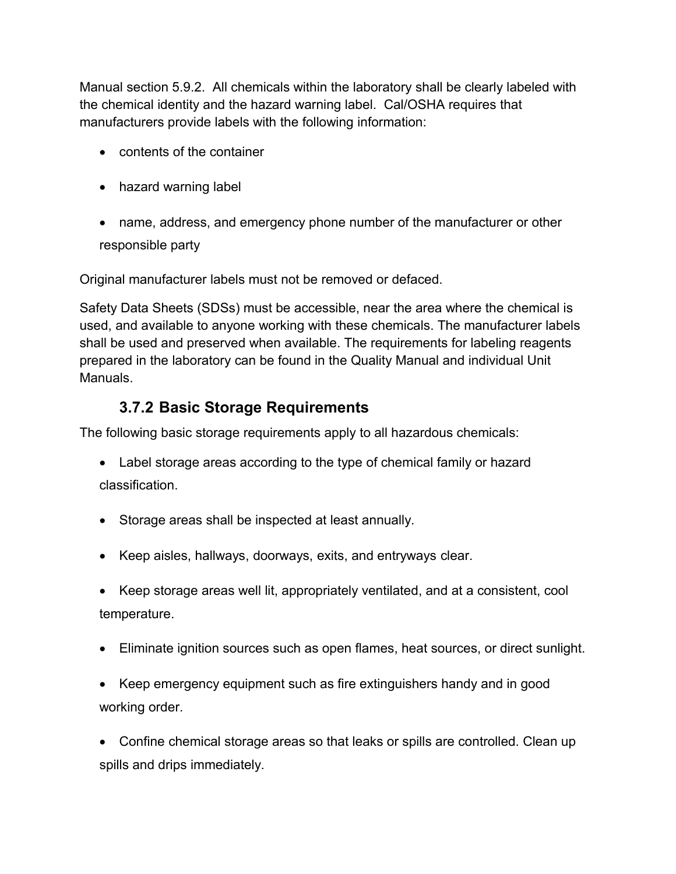Manual section 5.9.2. All chemicals within the laboratory shall be clearly labeled with the chemical identity and the hazard warning label. Cal/OSHA requires that manufacturers provide labels with the following information:

- contents of the container
- hazard warning label
- name, address, and emergency phone number of the manufacturer or other responsible party

Original manufacturer labels must not be removed or defaced.

Safety Data Sheets (SDSs) must be accessible, near the area where the chemical is used, and available to anyone working with these chemicals. The manufacturer labels shall be used and preserved when available. The requirements for labeling reagents prepared in the laboratory can be found in the Quality Manual and individual Unit Manuals.

## **3.7.2 Basic Storage Requirements**

The following basic storage requirements apply to all hazardous chemicals:

- Label storage areas according to the type of chemical family or hazard classification.
- Storage areas shall be inspected at least annually.
- Keep aisles, hallways, doorways, exits, and entryways clear.
- Keep storage areas well lit, appropriately ventilated, and at a consistent, cool temperature.
- Eliminate ignition sources such as open flames, heat sources, or direct sunlight.
- Keep emergency equipment such as fire extinguishers handy and in good working order.

 Confine chemical storage areas so that leaks or spills are controlled. Clean up spills and drips immediately.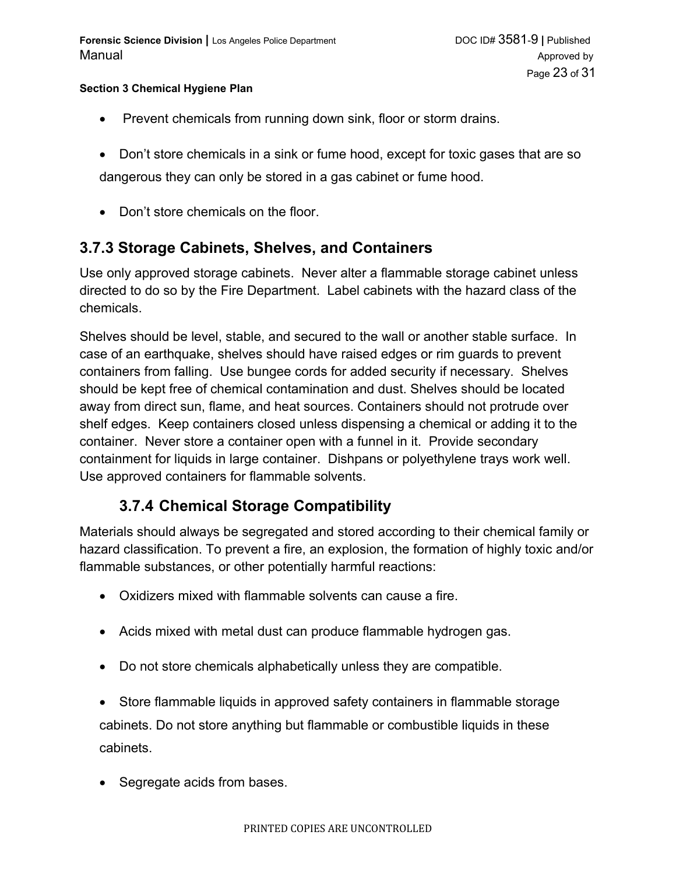- Prevent chemicals from running down sink, floor or storm drains.
- Don't store chemicals in a sink or fume hood, except for toxic gases that are so dangerous they can only be stored in a gas cabinet or fume hood.
- Don't store chemicals on the floor.

## **3.7.3 Storage Cabinets, Shelves, and Containers**

Use only approved storage cabinets. Never alter a flammable storage cabinet unless directed to do so by the Fire Department. Label cabinets with the hazard class of the chemicals.

Shelves should be level, stable, and secured to the wall or another stable surface. In case of an earthquake, shelves should have raised edges or rim guards to prevent containers from falling. Use bungee cords for added security if necessary. Shelves should be kept free of chemical contamination and dust. Shelves should be located away from direct sun, flame, and heat sources. Containers should not protrude over shelf edges. Keep containers closed unless dispensing a chemical or adding it to the container. Never store a container open with a funnel in it. Provide secondary containment for liquids in large container. Dishpans or polyethylene trays work well. Use approved containers for flammable solvents.

## **3.7.4 Chemical Storage Compatibility**

Materials should always be segregated and stored according to their chemical family or hazard classification. To prevent a fire, an explosion, the formation of highly toxic and/or flammable substances, or other potentially harmful reactions:

- Oxidizers mixed with flammable solvents can cause a fire.
- Acids mixed with metal dust can produce flammable hydrogen gas.
- Do not store chemicals alphabetically unless they are compatible.

 Store flammable liquids in approved safety containers in flammable storage cabinets. Do not store anything but flammable or combustible liquids in these cabinets.

• Segregate acids from bases.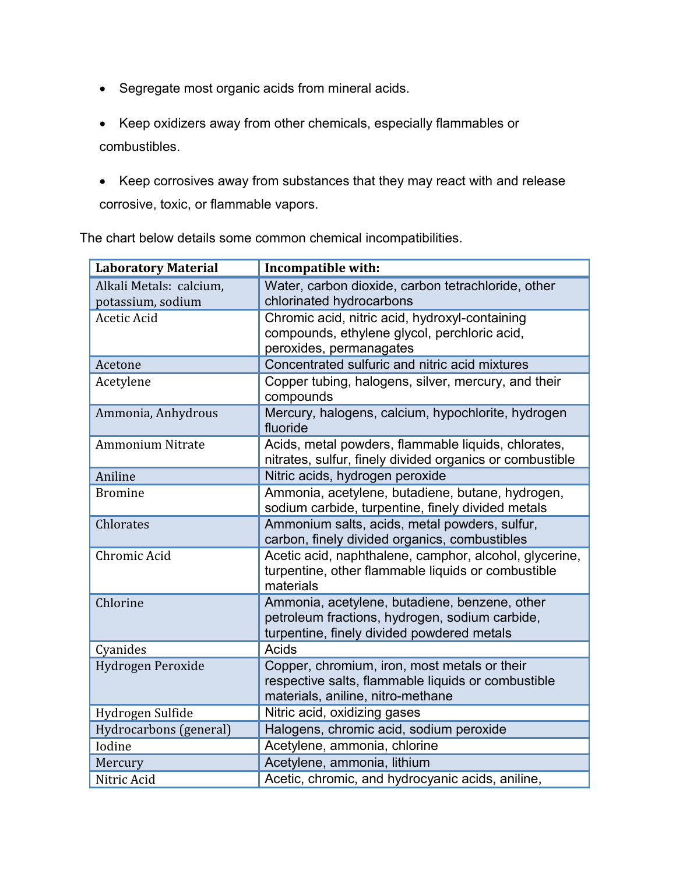- Segregate most organic acids from mineral acids.
- Keep oxidizers away from other chemicals, especially flammables or combustibles.
- Keep corrosives away from substances that they may react with and release corrosive, toxic, or flammable vapors.

|  | <b>Laboratory Material</b>                   | Incompatible with:                                                                                                                            |
|--|----------------------------------------------|-----------------------------------------------------------------------------------------------------------------------------------------------|
|  | Alkali Metals: calcium,<br>potassium, sodium | Water, carbon dioxide, carbon tetrachloride, other<br>chlorinated hydrocarbons                                                                |
|  | <b>Acetic Acid</b>                           | Chromic acid, nitric acid, hydroxyl-containing<br>compounds, ethylene glycol, perchloric acid,<br>peroxides, permanagates                     |
|  | Acetone                                      | Concentrated sulfuric and nitric acid mixtures                                                                                                |
|  | Acetylene                                    | Copper tubing, halogens, silver, mercury, and their<br>compounds                                                                              |
|  | Ammonia, Anhydrous                           | Mercury, halogens, calcium, hypochlorite, hydrogen<br>fluoride                                                                                |
|  | <b>Ammonium Nitrate</b>                      | Acids, metal powders, flammable liquids, chlorates,<br>nitrates, sulfur, finely divided organics or combustible                               |
|  | Aniline                                      | Nitric acids, hydrogen peroxide                                                                                                               |
|  | <b>Bromine</b>                               | Ammonia, acetylene, butadiene, butane, hydrogen,<br>sodium carbide, turpentine, finely divided metals                                         |
|  | Chlorates                                    | Ammonium salts, acids, metal powders, sulfur,<br>carbon, finely divided organics, combustibles                                                |
|  | Chromic Acid                                 | Acetic acid, naphthalene, camphor, alcohol, glycerine,<br>turpentine, other flammable liquids or combustible<br>materials                     |
|  | Chlorine                                     | Ammonia, acetylene, butadiene, benzene, other<br>petroleum fractions, hydrogen, sodium carbide,<br>turpentine, finely divided powdered metals |
|  | Cyanides                                     | Acids                                                                                                                                         |
|  | Hydrogen Peroxide                            | Copper, chromium, iron, most metals or their<br>respective salts, flammable liquids or combustible<br>materials, aniline, nitro-methane       |
|  | Hydrogen Sulfide                             | Nitric acid, oxidizing gases                                                                                                                  |
|  | Hydrocarbons (general)                       | Halogens, chromic acid, sodium peroxide                                                                                                       |
|  | Iodine                                       | Acetylene, ammonia, chlorine                                                                                                                  |
|  | Mercury                                      | Acetylene, ammonia, lithium                                                                                                                   |
|  | Nitric Acid                                  | Acetic, chromic, and hydrocyanic acids, aniline,                                                                                              |

The chart below details some common chemical incompatibilities.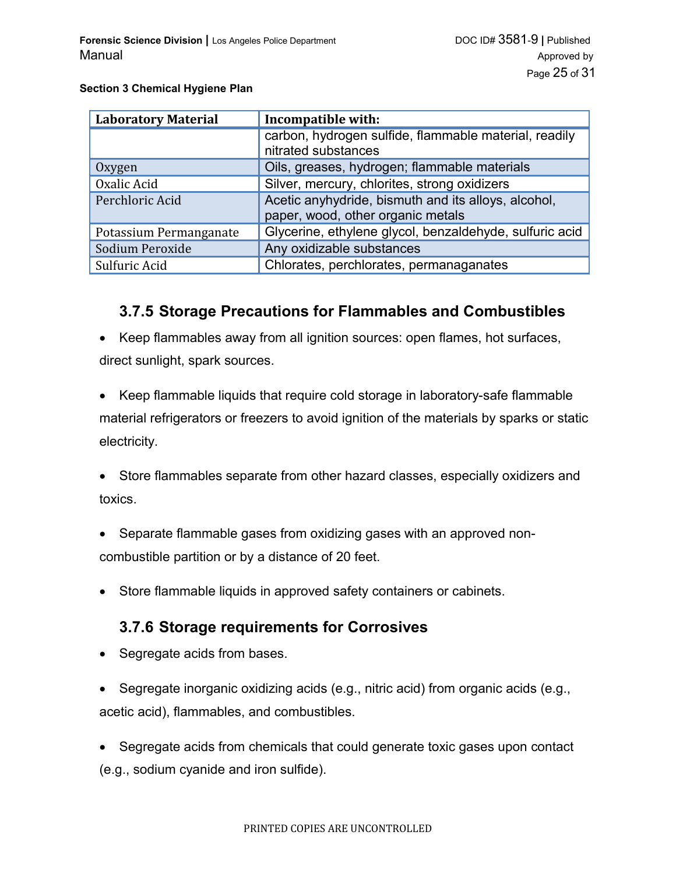| <b>Laboratory Material</b> | Incompatible with:                                                                       |
|----------------------------|------------------------------------------------------------------------------------------|
|                            | carbon, hydrogen sulfide, flammable material, readily<br>nitrated substances             |
| Oxygen                     | Oils, greases, hydrogen; flammable materials                                             |
| Oxalic Acid                | Silver, mercury, chlorites, strong oxidizers                                             |
| Perchloric Acid            | Acetic anyhydride, bismuth and its alloys, alcohol,<br>paper, wood, other organic metals |
| Potassium Permanganate     | Glycerine, ethylene glycol, benzaldehyde, sulfuric acid                                  |
| Sodium Peroxide            | Any oxidizable substances                                                                |
| Sulfuric Acid              | Chlorates, perchlorates, permanaganates                                                  |

### **3.7.5 Storage Precautions for Flammables and Combustibles**

• Keep flammables away from all ignition sources: open flames, hot surfaces, direct sunlight, spark sources.

 Keep flammable liquids that require cold storage in laboratory-safe flammable material refrigerators or freezers to avoid ignition of the materials by sparks or static electricity.

 Store flammables separate from other hazard classes, especially oxidizers and toxics.

- Separate flammable gases from oxidizing gases with an approved noncombustible partition or by a distance of 20 feet.
- Store flammable liquids in approved safety containers or cabinets.

## **3.7.6 Storage requirements for Corrosives**

- Segregate acids from bases.
- Segregate inorganic oxidizing acids (e.g., nitric acid) from organic acids (e.g., acetic acid), flammables, and combustibles.
- Segregate acids from chemicals that could generate toxic gases upon contact (e.g., sodium cyanide and iron sulfide).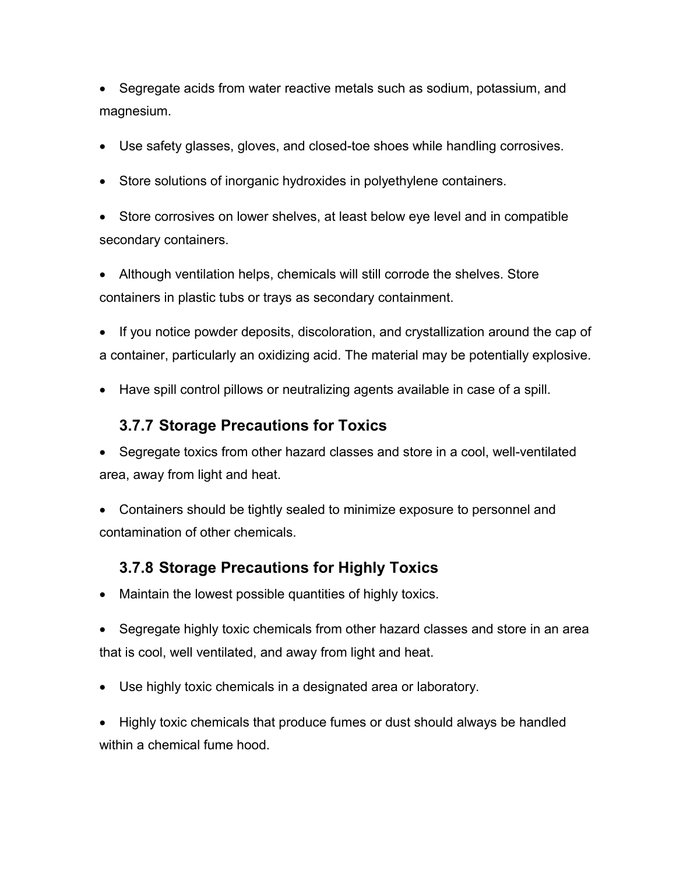• Segregate acids from water reactive metals such as sodium, potassium, and magnesium.

- Use safety glasses, gloves, and closed-toe shoes while handling corrosives.
- Store solutions of inorganic hydroxides in polyethylene containers.

 Store corrosives on lower shelves, at least below eye level and in compatible secondary containers.

 Although ventilation helps, chemicals will still corrode the shelves. Store containers in plastic tubs or trays as secondary containment.

• If you notice powder deposits, discoloration, and crystallization around the cap of a container, particularly an oxidizing acid. The material may be potentially explosive.

Have spill control pillows or neutralizing agents available in case of a spill.

## **3.7.7 Storage Precautions for Toxics**

 Segregate toxics from other hazard classes and store in a cool, well-ventilated area, away from light and heat.

 Containers should be tightly sealed to minimize exposure to personnel and contamination of other chemicals.

## **3.7.8 Storage Precautions for Highly Toxics**

Maintain the lowest possible quantities of highly toxics.

 Segregate highly toxic chemicals from other hazard classes and store in an area that is cool, well ventilated, and away from light and heat.

Use highly toxic chemicals in a designated area or laboratory.

 Highly toxic chemicals that produce fumes or dust should always be handled within a chemical fume hood.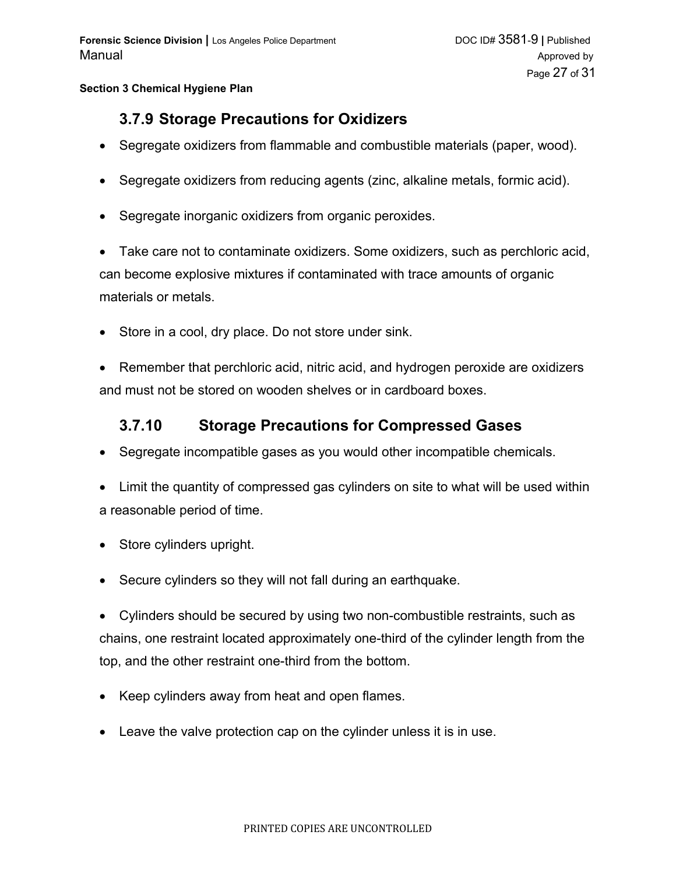## **3.7.9 Storage Precautions for Oxidizers**

- Segregate oxidizers from flammable and combustible materials (paper, wood).
- Segregate oxidizers from reducing agents (zinc, alkaline metals, formic acid).
- Segregate inorganic oxidizers from organic peroxides.

 Take care not to contaminate oxidizers. Some oxidizers, such as perchloric acid, can become explosive mixtures if contaminated with trace amounts of organic materials or metals.

• Store in a cool, dry place. Do not store under sink.

 Remember that perchloric acid, nitric acid, and hydrogen peroxide are oxidizers and must not be stored on wooden shelves or in cardboard boxes.

### **3.7.10 Storage Precautions for Compressed Gases**

- Segregate incompatible gases as you would other incompatible chemicals.
- Limit the quantity of compressed gas cylinders on site to what will be used within a reasonable period of time.
- Store cylinders upright.
- Secure cylinders so they will not fall during an earthquake.

 Cylinders should be secured by using two non-combustible restraints, such as chains, one restraint located approximately one-third of the cylinder length from the top, and the other restraint one-third from the bottom.

- Keep cylinders away from heat and open flames.
- Leave the valve protection cap on the cylinder unless it is in use.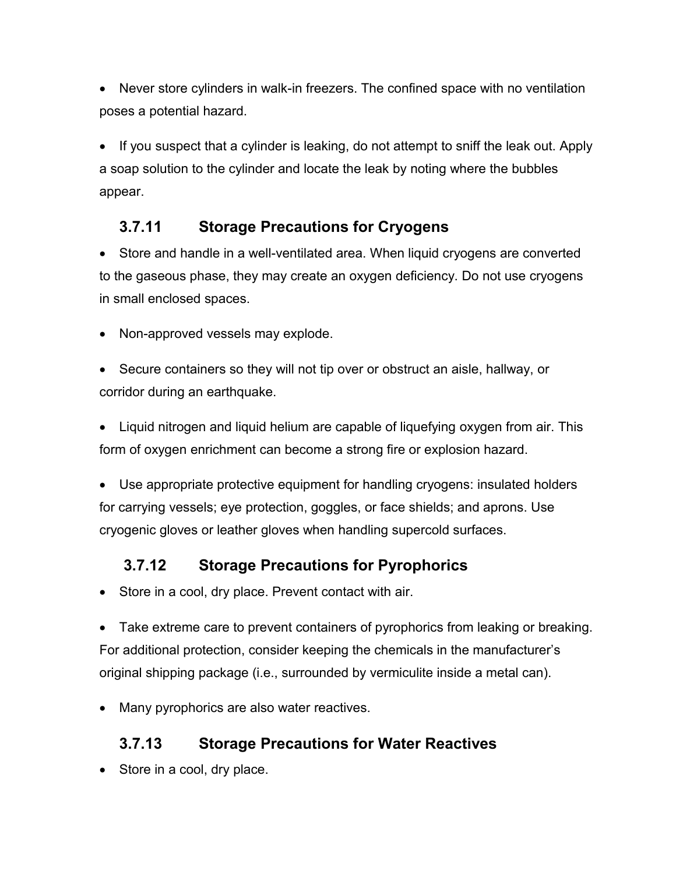Never store cylinders in walk-in freezers. The confined space with no ventilation poses a potential hazard.

• If you suspect that a cylinder is leaking, do not attempt to sniff the leak out. Apply a soap solution to the cylinder and locate the leak by noting where the bubbles appear.

# **3.7.11 Storage Precautions for Cryogens**

 Store and handle in a well-ventilated area. When liquid cryogens are converted to the gaseous phase, they may create an oxygen deficiency. Do not use cryogens in small enclosed spaces.

• Non-approved vessels may explode.

 Secure containers so they will not tip over or obstruct an aisle, hallway, or corridor during an earthquake.

• Liquid nitrogen and liquid helium are capable of liquefying oxygen from air. This form of oxygen enrichment can become a strong fire or explosion hazard.

 Use appropriate protective equipment for handling cryogens: insulated holders for carrying vessels; eye protection, goggles, or face shields; and aprons. Use cryogenic gloves or leather gloves when handling supercold surfaces.

# **3.7.12 Storage Precautions for Pyrophorics**

Store in a cool, dry place. Prevent contact with air.

 Take extreme care to prevent containers of pyrophorics from leaking or breaking. For additional protection, consider keeping the chemicals in the manufacturer's original shipping package (i.e., surrounded by vermiculite inside a metal can).

• Many pyrophorics are also water reactives.

# **3.7.13 Storage Precautions for Water Reactives**

• Store in a cool, dry place.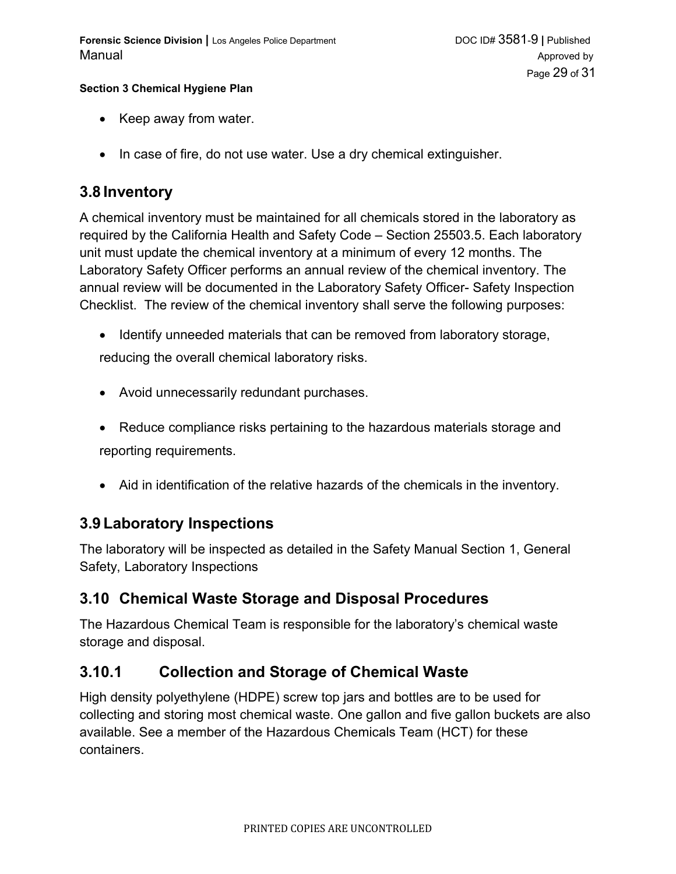- Keep away from water.
- $\bullet$  In case of fire, do not use water. Use a dry chemical extinguisher.

### **3.8 Inventory**

A chemical inventory must be maintained for all chemicals stored in the laboratory as required by the California Health and Safety Code – Section 25503.5. Each laboratory unit must update the chemical inventory at a minimum of every 12 months. The Laboratory Safety Officer performs an annual review of the chemical inventory. The annual review will be documented in the Laboratory Safety Officer- Safety Inspection Checklist. The review of the chemical inventory shall serve the following purposes:

- Identify unneeded materials that can be removed from laboratory storage, reducing the overall chemical laboratory risks.
- Avoid unnecessarily redundant purchases.
- Reduce compliance risks pertaining to the hazardous materials storage and reporting requirements.
- Aid in identification of the relative hazards of the chemicals in the inventory.

### **3.9 Laboratory Inspections**

The laboratory will be inspected as detailed in the Safety Manual Section 1, General Safety, Laboratory Inspections

## **3.10 Chemical Waste Storage and Disposal Procedures**

The Hazardous Chemical Team is responsible for the laboratory's chemical waste storage and disposal.

## **3.10.1 Collection and Storage of Chemical Waste**

High density polyethylene (HDPE) screw top jars and bottles are to be used for collecting and storing most chemical waste. One gallon and five gallon buckets are also available. See a member of the Hazardous Chemicals Team (HCT) for these containers.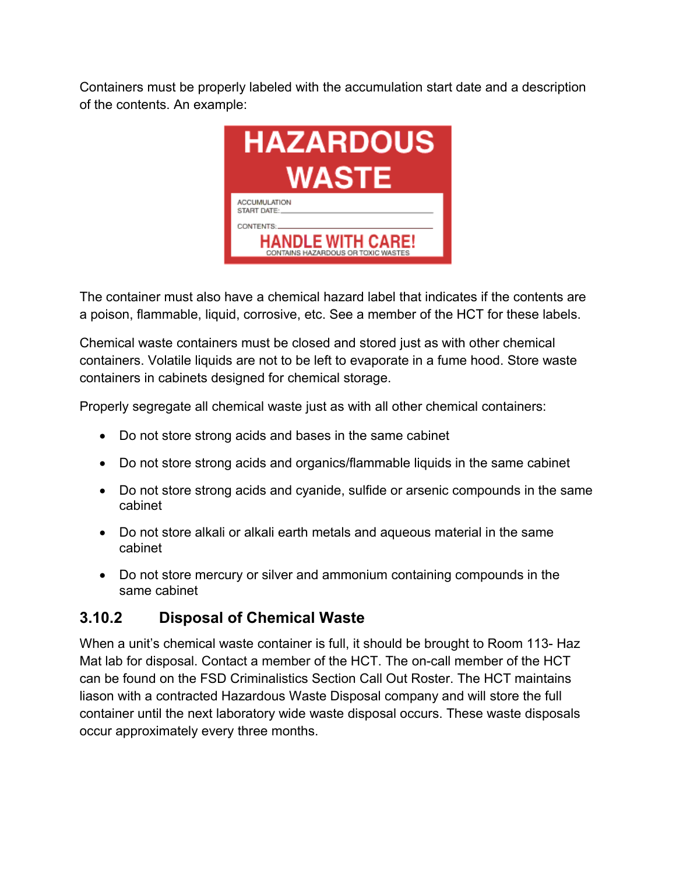Containers must be properly labeled with the accumulation start date and a description of the contents. An example:



The container must also have a chemical hazard label that indicates if the contents are a poison, flammable, liquid, corrosive, etc. See a member of the HCT for these labels.

Chemical waste containers must be closed and stored just as with other chemical containers. Volatile liquids are not to be left to evaporate in a fume hood. Store waste containers in cabinets designed for chemical storage.

Properly segregate all chemical waste just as with all other chemical containers:

- Do not store strong acids and bases in the same cabinet
- Do not store strong acids and organics/flammable liquids in the same cabinet
- Do not store strong acids and cyanide, sulfide or arsenic compounds in the same cabinet
- Do not store alkali or alkali earth metals and aqueous material in the same cabinet
- Do not store mercury or silver and ammonium containing compounds in the same cabinet

## **3.10.2 Disposal of Chemical Waste**

When a unit's chemical waste container is full, it should be brought to Room 113- Haz Mat lab for disposal. Contact a member of the HCT. The on-call member of the HCT can be found on the FSD Criminalistics Section Call Out Roster. The HCT maintains liason with a contracted Hazardous Waste Disposal company and will store the full container until the next laboratory wide waste disposal occurs. These waste disposals occur approximately every three months.